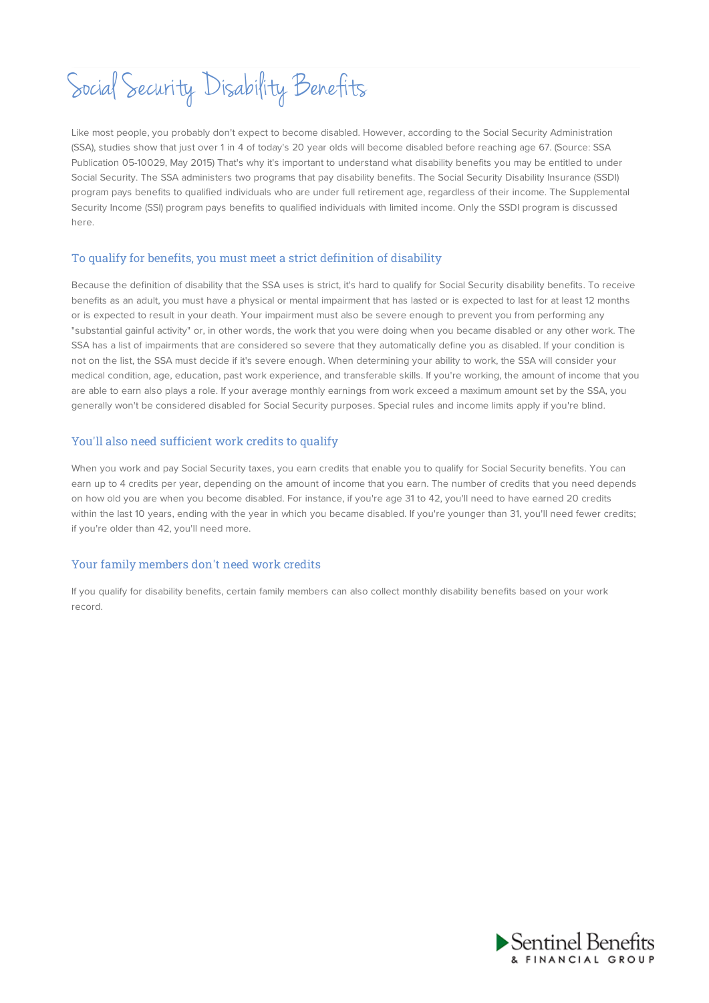# Social Security Disability Benefits

Like most people, you probably don't expect to become disabled. However, according to the Social Security Administration (SSA), studies show that just over 1 in 4 of today's 20 year olds will become disabled before reaching age 67. (Source: SSA Publication 05-10029, May 2015) That's why it's important to understand what disability benefits you may be entitled to under Social Security. The SSA administers two programs that pay disability benefits. The Social Security Disability Insurance (SSDI) program pays benefits to qualified individuals who are under full retirement age, regardless of their income. The Supplemental Security Income (SSI) program pays benefits to qualified individuals with limited income. Only the SSDI program is discussed here.

## To qualify for benefits, you must meet a strict definition of disability

Because the definition of disability that the SSA uses is strict, it's hard to qualify for Social Security disability benefits. To receive benefits as an adult, you must have a physical or mental impairment that has lasted or is expected to last for at least 12 months or is expected to result in your death. Your impairment must also be severe enough to prevent you from performing any "substantial gainful activity" or, in other words, the work that you were doing when you became disabled or any other work. The SSA has a list of impairments that are considered so severe that they automatically define you as disabled. If your condition is not on the list, the SSA must decide if it's severe enough. When determining your ability to work, the SSA will consider your medical condition, age, education, past work experience, and transferable skills. If you're working, the amount of income that you are able to earn also plays a role. If your average monthly earnings from work exceed a maximum amount set by the SSA, you generally won't be considered disabled for Social Security purposes. Special rules and income limits apply if you're blind.

# You'll also need sufficient work credits to qualify

When you work and pay Social Security taxes, you earn credits that enable you to qualify for Social Security benefits. You can earn up to 4 credits per year, depending on the amount of income that you earn. The number of credits that you need depends on how old you are when you become disabled. For instance, if you're age 31 to 42, you'll need to have earned 20 credits within the last 10 years, ending with the year in which you became disabled. If you're younger than 31, you'll need fewer credits; if you're older than 42, you'll need more.

## Your family members don't need work credits

If you qualify for disability benefits, certain family members can also collect monthly disability benefits based on your work record.